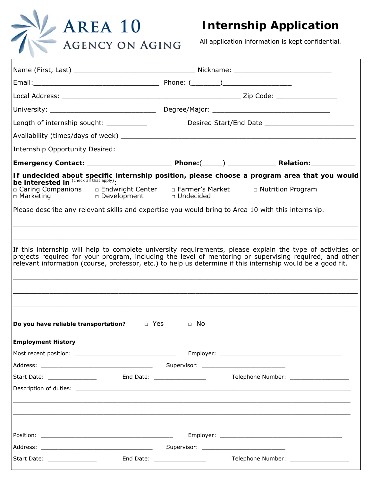

## **Internship Application**

*All application information is kept confidential.*

| Length of internship sought:                                                                       |                             |                                                                                                                                                                                                                                                                                                                                      |  |
|----------------------------------------------------------------------------------------------------|-----------------------------|--------------------------------------------------------------------------------------------------------------------------------------------------------------------------------------------------------------------------------------------------------------------------------------------------------------------------------------|--|
|                                                                                                    |                             |                                                                                                                                                                                                                                                                                                                                      |  |
|                                                                                                    |                             |                                                                                                                                                                                                                                                                                                                                      |  |
|                                                                                                    |                             |                                                                                                                                                                                                                                                                                                                                      |  |
|                                                                                                    |                             | If undecided about specific internship position, please choose a program area that you would<br>be interested in <sup>(check all that apply)</sup> :                                                                                                                                                                                 |  |
|                                                                                                    |                             | □ Nutrition Program                                                                                                                                                                                                                                                                                                                  |  |
| Please describe any relevant skills and expertise you would bring to Area 10 with this internship. |                             |                                                                                                                                                                                                                                                                                                                                      |  |
|                                                                                                    |                             |                                                                                                                                                                                                                                                                                                                                      |  |
|                                                                                                    |                             |                                                                                                                                                                                                                                                                                                                                      |  |
|                                                                                                    |                             | If this internship will help to complete university requirements, please explain the type of activities or<br>projects required for your program, including the level of mentoring or supervising required, and other<br>relevant information (course, professor, etc.) to help us determine if this internship would be a good fit. |  |
| Do you have reliable transportation? $\Box$ Yes<br><b>Employment History</b>                       | □ No                        |                                                                                                                                                                                                                                                                                                                                      |  |
|                                                                                                    |                             |                                                                                                                                                                                                                                                                                                                                      |  |
|                                                                                                    |                             |                                                                                                                                                                                                                                                                                                                                      |  |
| Start Date: _________________                                                                      |                             |                                                                                                                                                                                                                                                                                                                                      |  |
|                                                                                                    |                             |                                                                                                                                                                                                                                                                                                                                      |  |
|                                                                                                    |                             |                                                                                                                                                                                                                                                                                                                                      |  |
|                                                                                                    |                             |                                                                                                                                                                                                                                                                                                                                      |  |
|                                                                                                    |                             |                                                                                                                                                                                                                                                                                                                                      |  |
|                                                                                                    |                             |                                                                                                                                                                                                                                                                                                                                      |  |
| Start Date: ________________                                                                       | End Date: _________________ | Telephone Number: ____________________                                                                                                                                                                                                                                                                                               |  |